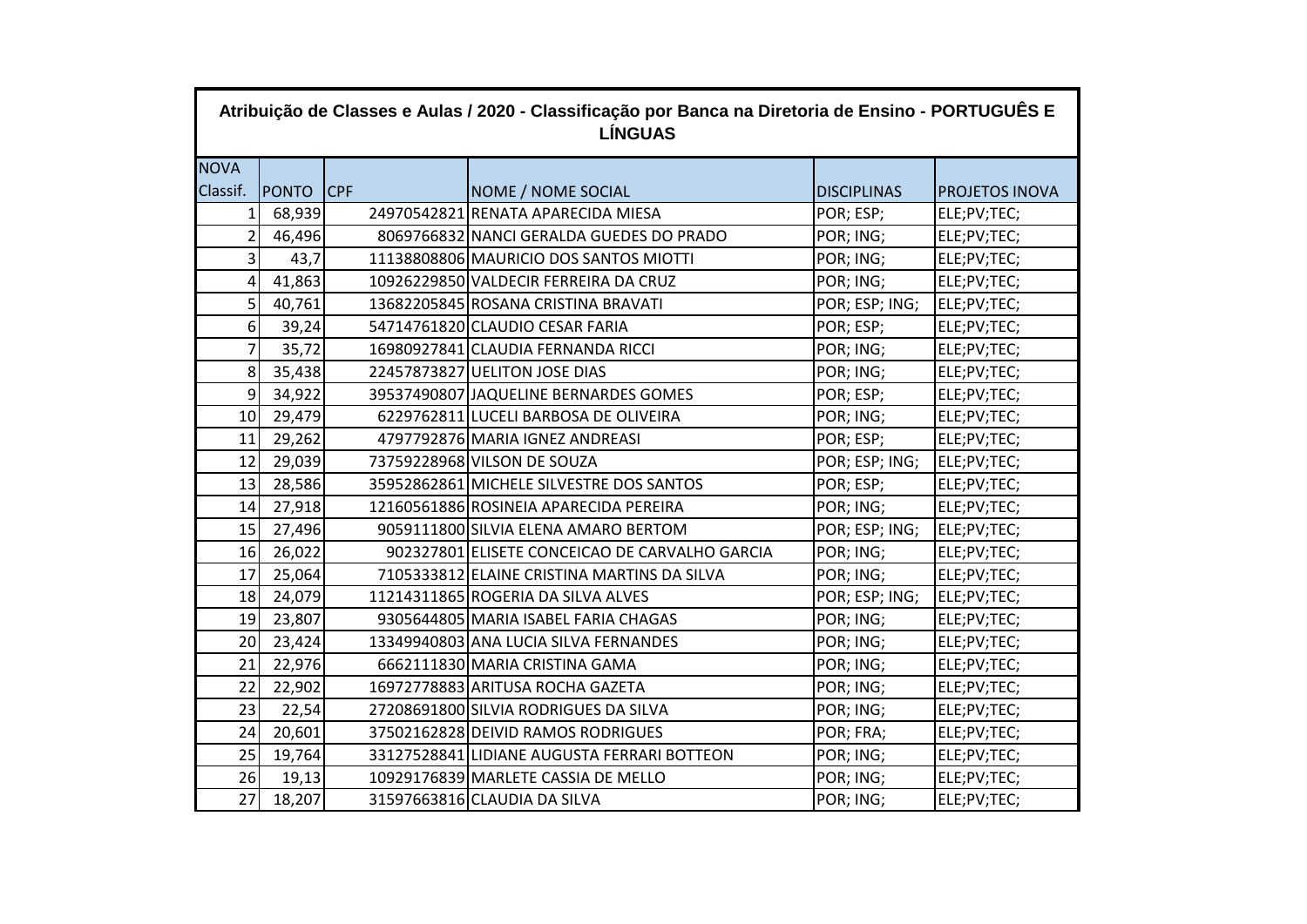| Atribuição de Classes e Aulas / 2020 - Classificação por Banca na Diretoria de Ensino - PORTUGUÊS E<br><b>LÍNGUAS</b> |              |            |                                                |                    |                       |  |  |  |
|-----------------------------------------------------------------------------------------------------------------------|--------------|------------|------------------------------------------------|--------------------|-----------------------|--|--|--|
| <b>NOVA</b>                                                                                                           |              |            |                                                |                    |                       |  |  |  |
| Classif.                                                                                                              | <b>PONTO</b> | <b>CPF</b> | NOME / NOME SOCIAL                             | <b>DISCIPLINAS</b> | <b>PROJETOS INOVA</b> |  |  |  |
| 1                                                                                                                     | 68,939       |            | 24970542821 RENATA APARECIDA MIESA             | POR; ESP;          | ELE;PV;TEC;           |  |  |  |
| $\overline{2}$                                                                                                        | 46,496       |            | 8069766832 NANCI GERALDA GUEDES DO PRADO       | POR; ING;          | ELE;PV;TEC;           |  |  |  |
| 3 <sup>1</sup>                                                                                                        | 43,7         |            | 11138808806 MAURICIO DOS SANTOS MIOTTI         | POR; ING;          | ELE;PV;TEC;           |  |  |  |
| 4                                                                                                                     | 41,863       |            | 10926229850 VALDECIR FERREIRA DA CRUZ          | POR; ING;          | ELE;PV;TEC;           |  |  |  |
| 5                                                                                                                     | 40,761       |            | 13682205845 ROSANA CRISTINA BRAVATI            | POR; ESP; ING;     | ELE;PV;TEC;           |  |  |  |
| 6 <sup>1</sup>                                                                                                        | 39,24        |            | 54714761820 CLAUDIO CESAR FARIA                | POR; ESP;          | ELE;PV;TEC;           |  |  |  |
| $\overline{7}$                                                                                                        | 35,72        |            | 16980927841 CLAUDIA FERNANDA RICCI             | POR; ING;          | ELE;PV;TEC;           |  |  |  |
| 8 <sup>1</sup>                                                                                                        | 35,438       |            | 22457873827 UELITON JOSE DIAS                  | POR; ING;          | ELE;PV;TEC;           |  |  |  |
| 9 <sup>1</sup>                                                                                                        | 34,922       |            | 39537490807 JAQUELINE BERNARDES GOMES          | POR; ESP;          | ELE;PV;TEC;           |  |  |  |
| 10 <sup>1</sup>                                                                                                       | 29,479       |            | 6229762811 LUCELI BARBOSA DE OLIVEIRA          | POR; ING;          | ELE;PV;TEC;           |  |  |  |
| 11                                                                                                                    | 29,262       |            | 4797792876 MARIA IGNEZ ANDREASI                | POR; ESP;          | ELE;PV;TEC;           |  |  |  |
| 12                                                                                                                    | 29,039       |            | 73759228968 VILSON DE SOUZA                    | POR; ESP; ING;     | ELE;PV;TEC;           |  |  |  |
| 13                                                                                                                    | 28,586       |            | 35952862861 MICHELE SILVESTRE DOS SANTOS       | POR; ESP;          | ELE;PV;TEC;           |  |  |  |
| 14                                                                                                                    | 27,918       |            | 12160561886 ROSINEIA APARECIDA PEREIRA         | POR; ING;          | ELE;PV;TEC;           |  |  |  |
| 15                                                                                                                    | 27,496       |            | 9059111800 SILVIA ELENA AMARO BERTOM           | POR; ESP; ING;     | ELE;PV;TEC;           |  |  |  |
| 16                                                                                                                    | 26,022       |            | 902327801 ELISETE CONCEICAO DE CARVALHO GARCIA | POR; ING;          | ELE;PV;TEC;           |  |  |  |
| 17                                                                                                                    | 25,064       |            | 7105333812 ELAINE CRISTINA MARTINS DA SILVA    | POR; ING;          | ELE;PV;TEC;           |  |  |  |
| 18                                                                                                                    | 24,079       |            | 11214311865 ROGERIA DA SILVA ALVES             | POR; ESP; ING;     | ELE;PV;TEC;           |  |  |  |
| 19                                                                                                                    | 23,807       |            | 9305644805 MARIA ISABEL FARIA CHAGAS           | POR; ING;          | ELE;PV;TEC;           |  |  |  |
| 20 <sup>1</sup>                                                                                                       | 23,424       |            | 13349940803 ANA LUCIA SILVA FERNANDES          | POR; ING;          | ELE;PV;TEC;           |  |  |  |
| 21                                                                                                                    | 22,976       |            | 6662111830 MARIA CRISTINA GAMA                 | POR; ING;          | ELE;PV;TEC;           |  |  |  |
| 22                                                                                                                    | 22,902       |            | 16972778883 ARITUSA ROCHA GAZETA               | POR; ING;          | ELE;PV;TEC;           |  |  |  |
| 23                                                                                                                    | 22,54        |            | 27208691800 SILVIA RODRIGUES DA SILVA          | POR; ING;          | ELE;PV;TEC;           |  |  |  |
| 24                                                                                                                    | 20,601       |            | 37502162828 DEIVID RAMOS RODRIGUES             | POR; FRA;          | ELE;PV;TEC;           |  |  |  |
| 25                                                                                                                    | 19,764       |            | 33127528841 LIDIANE AUGUSTA FERRARI BOTTEON    | POR; ING;          | ELE;PV;TEC;           |  |  |  |
| 26                                                                                                                    | 19,13        |            | 10929176839 MARLETE CASSIA DE MELLO            | POR; ING;          | ELE;PV;TEC;           |  |  |  |
| 27                                                                                                                    | 18,207       |            | 31597663816 CLAUDIA DA SILVA                   | POR; ING;          | ELE;PV;TEC;           |  |  |  |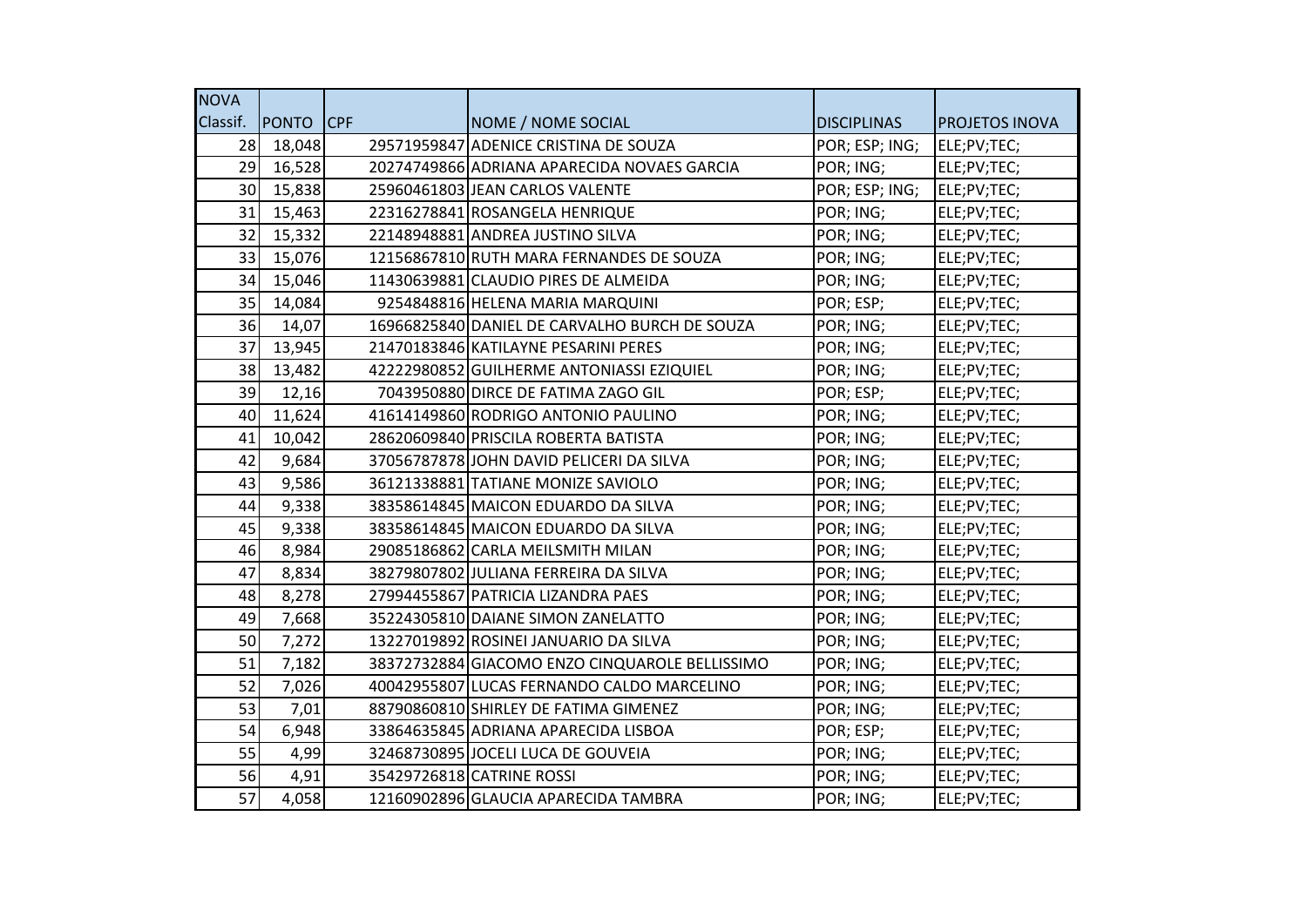| <b>NOVA</b>     |              |            |                                                |                    |                       |
|-----------------|--------------|------------|------------------------------------------------|--------------------|-----------------------|
| Classif.        | <b>PONTO</b> | <b>CPF</b> | NOME / NOME SOCIAL                             | <b>DISCIPLINAS</b> | <b>PROJETOS INOVA</b> |
| 28              | 18,048       |            | 29571959847 ADENICE CRISTINA DE SOUZA          | POR; ESP; ING;     | ELE;PV;TEC;           |
| 29              | 16,528       |            | 20274749866 ADRIANA APARECIDA NOVAES GARCIA    | POR; ING;          | ELE;PV;TEC;           |
| 30 <sup>1</sup> | 15,838       |            | 25960461803 JEAN CARLOS VALENTE                | POR; ESP; ING;     | ELE;PV;TEC;           |
| 31              | 15,463       |            | 22316278841 ROSANGELA HENRIQUE                 | POR; ING;          | ELE;PV;TEC;           |
| 32              | 15,332       |            | 22148948881 ANDREA JUSTINO SILVA               | POR; ING;          | ELE;PV;TEC;           |
| 33              | 15,076       |            | 12156867810 RUTH MARA FERNANDES DE SOUZA       | POR; ING;          | ELE;PV;TEC;           |
| 34              | 15,046       |            | 11430639881 CLAUDIO PIRES DE ALMEIDA           | POR; ING;          | ELE;PV;TEC;           |
| 35              | 14,084       |            | 9254848816 HELENA MARIA MARQUINI               | POR; ESP;          | ELE;PV;TEC;           |
| 36              | 14,07        |            | 16966825840 DANIEL DE CARVALHO BURCH DE SOUZA  | POR; ING;          | ELE;PV;TEC;           |
| 37              | 13,945       |            | 21470183846 KATILAYNE PESARINI PERES           | POR; ING;          | ELE;PV;TEC;           |
| 38              | 13,482       |            | 42222980852 GUILHERME ANTONIASSI EZIQUIEL      | POR; ING;          | ELE;PV;TEC;           |
| 39              | 12,16        |            | 7043950880 DIRCE DE FATIMA ZAGO GIL            | POR; ESP;          | ELE;PV;TEC;           |
| 40              | 11,624       |            | 41614149860 RODRIGO ANTONIO PAULINO            | POR; ING;          | ELE;PV;TEC;           |
| 41              | 10,042       |            | 28620609840 PRISCILA ROBERTA BATISTA           | POR; ING;          | ELE;PV;TEC;           |
| 42              | 9,684        |            | 37056787878 JOHN DAVID PELICERI DA SILVA       | POR; ING;          | ELE;PV;TEC;           |
| 43              | 9,586        |            | 36121338881 TATIANE MONIZE SAVIOLO             | POR; ING;          | ELE;PV;TEC;           |
| 44              | 9,338        |            | 38358614845 MAICON EDUARDO DA SILVA            | POR; ING;          | ELE;PV;TEC;           |
| 45              | 9,338        |            | 38358614845 MAICON EDUARDO DA SILVA            | POR; ING;          | ELE;PV;TEC;           |
| 46              | 8,984        |            | 29085186862 CARLA MEILSMITH MILAN              | POR; ING;          | ELE;PV;TEC;           |
| 47              | 8,834        |            | 38279807802 JULIANA FERREIRA DA SILVA          | POR; ING;          | ELE;PV;TEC;           |
| 48              | 8,278        |            | 27994455867 PATRICIA LIZANDRA PAES             | POR; ING;          | ELE;PV;TEC;           |
| 49              | 7,668        |            | 35224305810 DAIANE SIMON ZANELATTO             | POR; ING;          | ELE;PV;TEC;           |
| 50              | 7,272        |            | 13227019892 ROSINEI JANUARIO DA SILVA          | POR; ING;          | ELE;PV;TEC;           |
| 51              | 7,182        |            | 38372732884 GIACOMO ENZO CINQUAROLE BELLISSIMO | POR; ING;          | ELE;PV;TEC;           |
| 52              | 7,026        |            | 40042955807 LUCAS FERNANDO CALDO MARCELINO     | POR; ING;          | ELE;PV;TEC;           |
| 53              | 7,01         |            | 88790860810 SHIRLEY DE FATIMA GIMENEZ          | POR; ING;          | ELE;PV;TEC;           |
| 54              | 6,948        |            | 33864635845 ADRIANA APARECIDA LISBOA           | POR; ESP;          | ELE;PV;TEC;           |
| 55              | 4,99         |            | 32468730895 JOCELI LUCA DE GOUVEIA             | POR; ING;          | ELE;PV;TEC;           |
| 56              | 4,91         |            | 35429726818 CATRINE ROSSI                      | POR; ING;          | ELE;PV;TEC;           |
| 57              | 4,058        |            | 12160902896 GLAUCIA APARECIDA TAMBRA           | POR; ING;          | ELE;PV;TEC;           |
|                 |              |            |                                                |                    |                       |